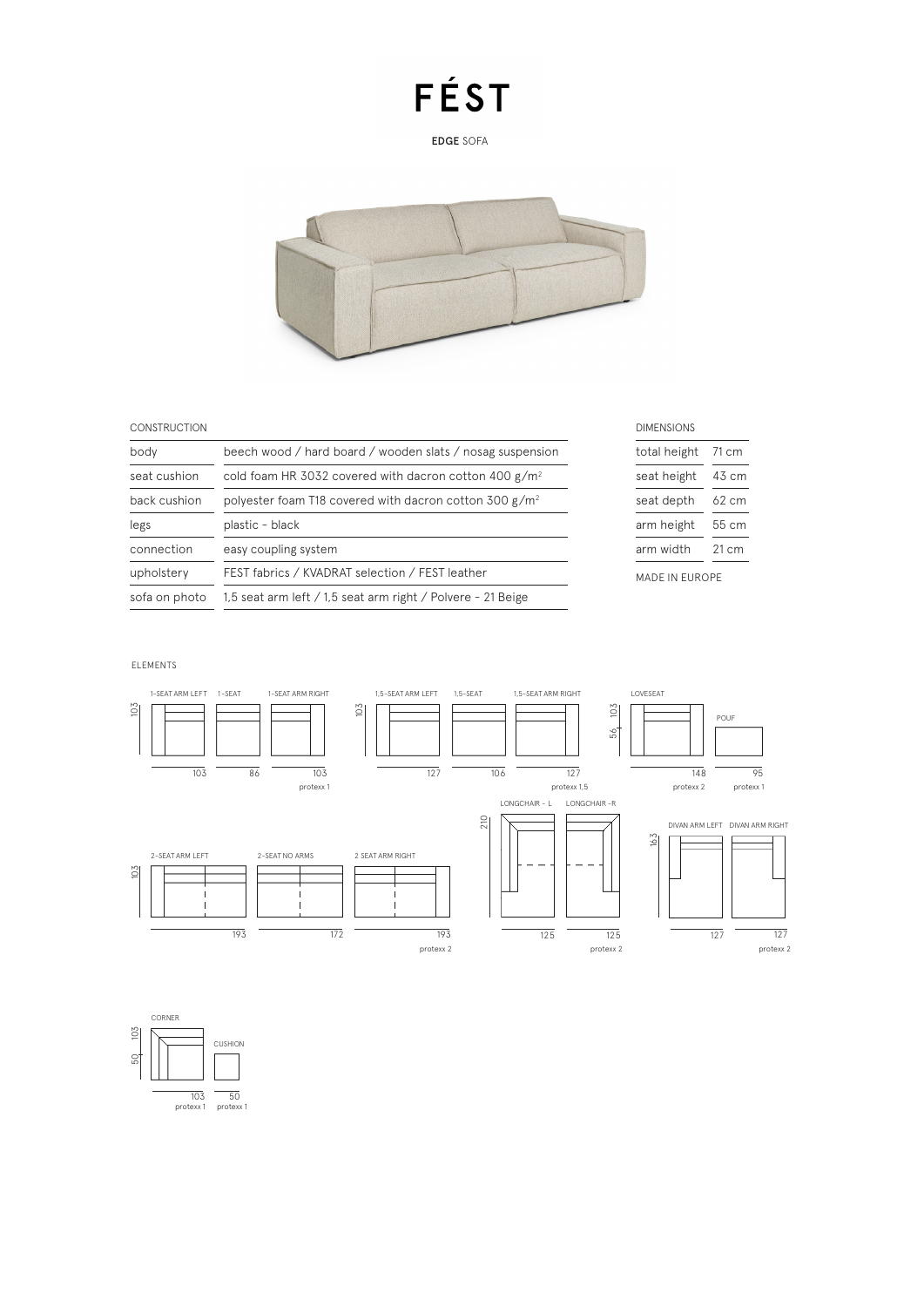EDGE SOFA



### CONSTRUCTION

| body          | beech wood / hard board / wooden slats / nosag suspension   |  |  |  |  |
|---------------|-------------------------------------------------------------|--|--|--|--|
| seat cushion  | cold foam HR 3032 covered with dacron cotton 400 $g/m^2$    |  |  |  |  |
| back cushion  | polyester foam T18 covered with dacron cotton 300 $g/m2$    |  |  |  |  |
| legs          | plastic - black                                             |  |  |  |  |
| connection    | easy coupling system                                        |  |  |  |  |
| upholstery    | FEST fabrics / KVADRAT selection / FEST leather             |  |  |  |  |
| sofa on photo | 1,5 seat arm left / 1,5 seat arm right / Polvere - 21 Beige |  |  |  |  |
|               |                                                             |  |  |  |  |

| <b>DIMENSIONS</b>     |       |  |  |  |  |
|-----------------------|-------|--|--|--|--|
| total height          | 71 cm |  |  |  |  |
| seat height           | 43 cm |  |  |  |  |
| seat depth            | 62 cm |  |  |  |  |
| arm height            | 55 cm |  |  |  |  |
| arm width             | 21 cm |  |  |  |  |
| <b>MADE IN EUROPE</b> |       |  |  |  |  |

### ELEMENTS



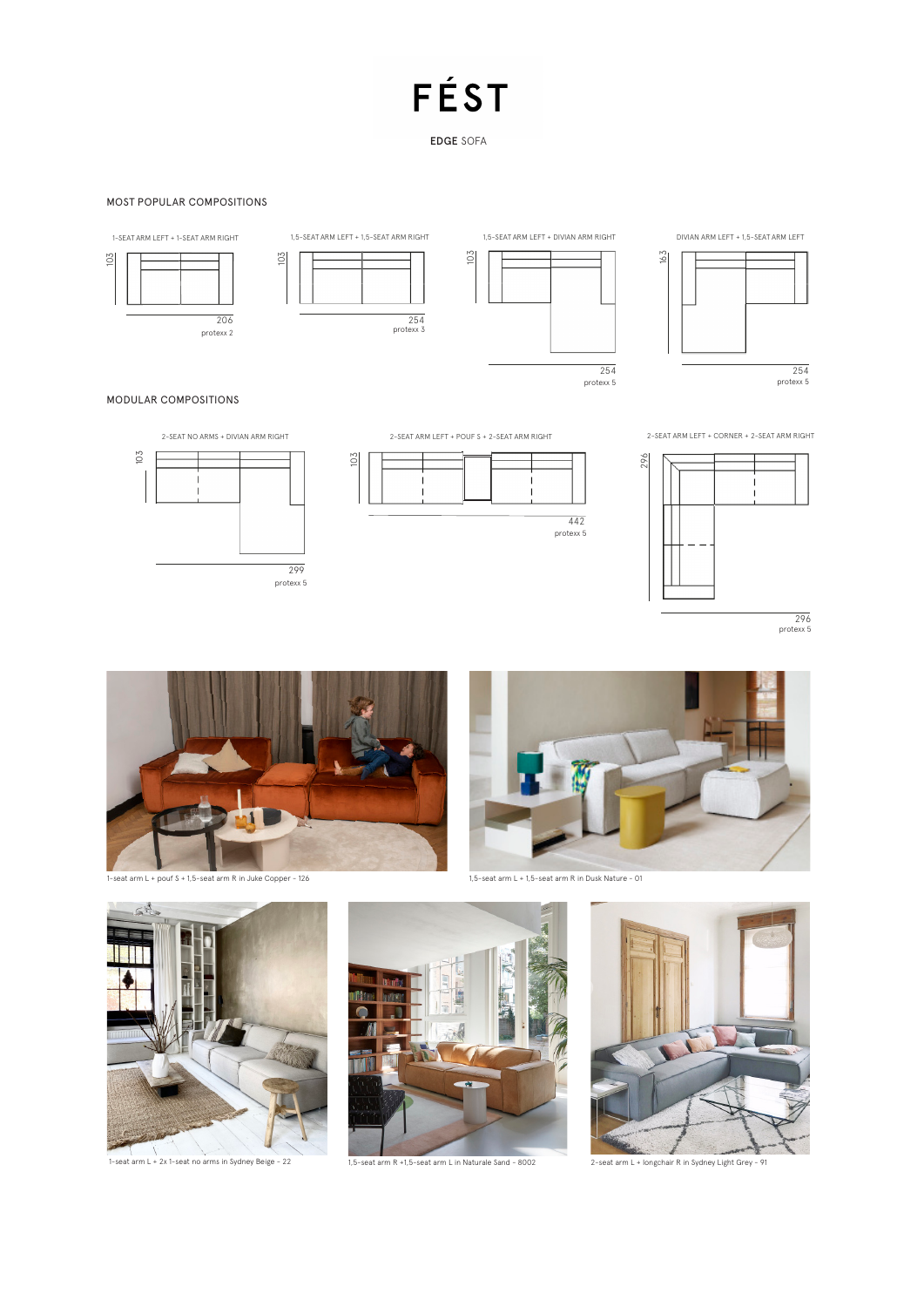EDGE SOFA

### MOST POPULAR COMPOSITIONS





2-SEAT ARM LEFT + POUF S + 2-SEAT ARM RIGHT

103





protexx 5 296







1,5-seat arm L + 1,5-seat arm R in Dusk Nature - 01



1-seat arm L + 2x 1-seat no arms in Sydney Beige - 22



1,5-seat arm R +1,5-seat arm L in Naturale Sand - 8002



2-seat arm L + longchair R in Sydney Light Grey - 91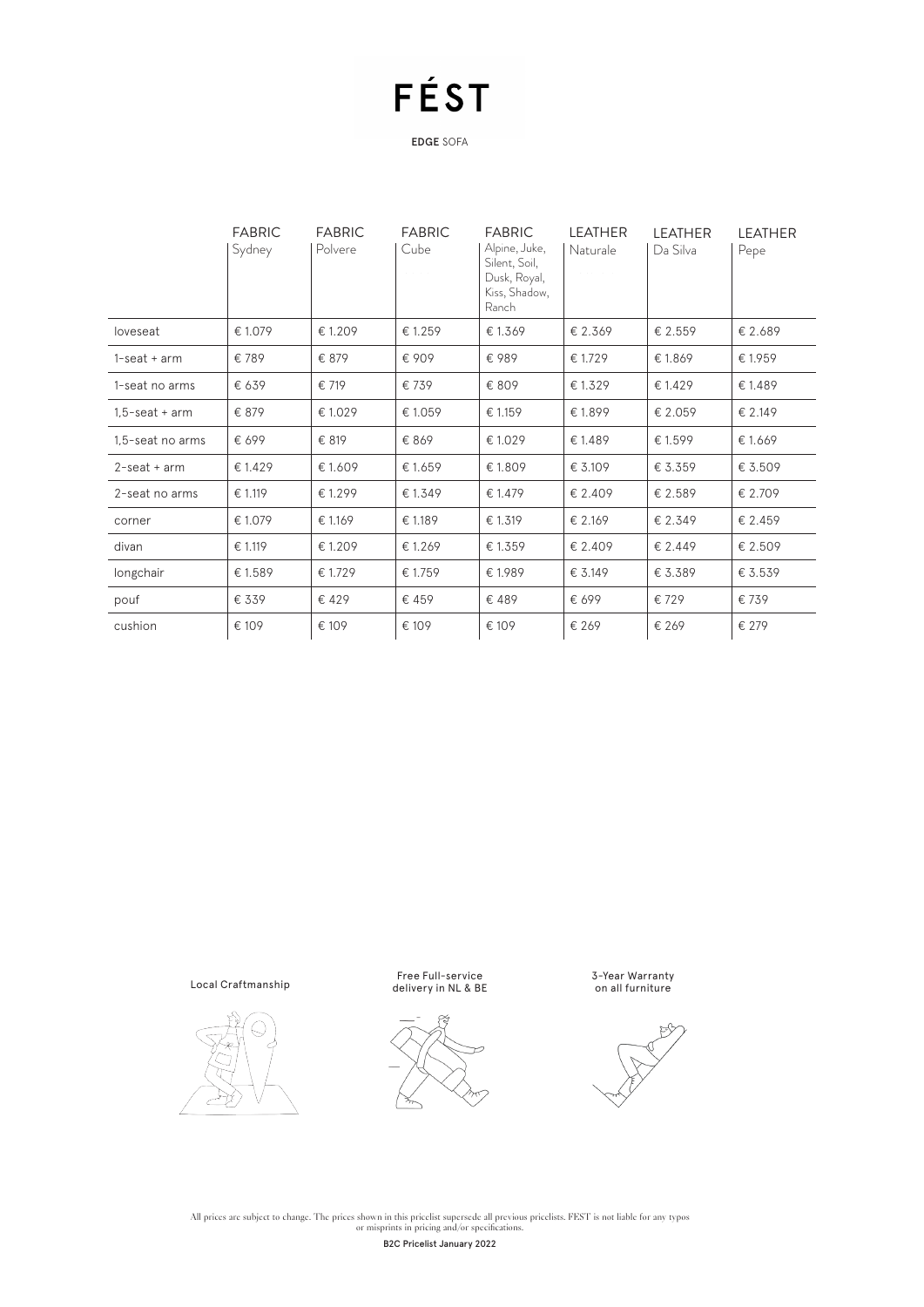EDGE SOFA

|                   | <b>FABRIC</b><br>Sydney | <b>FABRIC</b><br>Polvere | <b>FABRIC</b><br>Cube | <b>FABRIC</b><br>Alpine, Juke,<br>Silent, Soil,<br>Dusk, Royal,<br>Kiss, Shadow,<br>Ranch | <b>LEATHER</b><br>Naturale | <b>LEATHER</b><br>Da Silva | <b>LEATHER</b><br>Pepe |
|-------------------|-------------------------|--------------------------|-----------------------|-------------------------------------------------------------------------------------------|----------------------------|----------------------------|------------------------|
| loveseat          | € 1.079                 | € 1.209                  | € 1.259               | € 1.369                                                                                   | € 2.369                    | € 2.559                    | € 2.689                |
| $1$ -seat + arm   | €789                    | € 879                    | € 909                 | €989                                                                                      | € 1.729                    | € 1.869                    | € 1.959                |
| 1-seat no arms    | € 639                   | € 719                    | € 739                 | € 809                                                                                     | €1.329                     | € 1.429                    | €1.489                 |
| $1.5$ -seat + arm | € 879                   | € 1.029                  | € 1.059               | € 1.159                                                                                   | € 1.899                    | € 2.059                    | € 2.149                |
| 1,5-seat no arms  | € 699                   | € 819                    | € 869                 | € 1.029                                                                                   | €1.489                     | € 1.599                    | €1.669                 |
| $2$ -seat + arm   | € 1.429                 | € 1.609                  | € 1.659               | € 1.809                                                                                   | € 3.109                    | € 3.359                    | € 3.509                |
| 2-seat no arms    | € 1.119                 | € 1.299                  | €1.349                | € 1.479                                                                                   | € 2.409                    | € 2.589                    | € 2.709                |
| corner            | € 1.079                 | € 1.169                  | € 1.189               | € 1.319                                                                                   | € 2.169                    | € 2.349                    | € 2.459                |
| divan             | € 1.119                 | € 1.209                  | € 1.269               | € 1.359                                                                                   | € 2.409                    | € 2.449                    | € 2.509                |
| longchair         | €1.589                  | € 1.729                  | € 1.759               | € 1.989                                                                                   | € 3.149                    | € 3.389                    | € 3.539                |
| pouf              | € 339                   | €429                     | € 459                 | €489                                                                                      | € 699                      | €729                       | €739                   |
| cushion           | € 109                   | € 109                    | € 109                 | € 109                                                                                     | € 269                      | € 269                      | € 279                  |

Local Craftmanship



Free Full-service delivery in NL & BE



3-Year Warranty on all furniture

All prices are subject to change. The prices shown in this pricelist supersede all previous pricelists. FEST is not liable for any typos<br>or misprints in pricing and/or specifications. B2C Pricelist January 2022